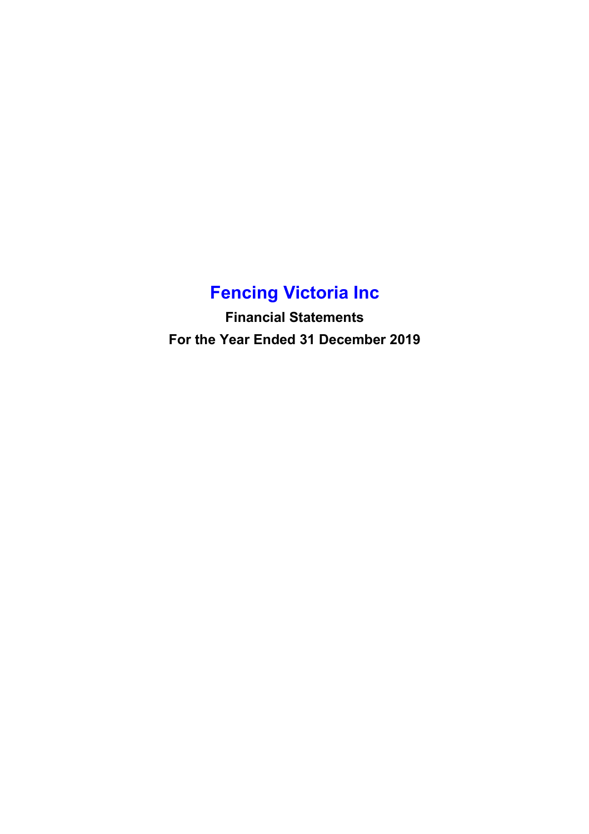# **Fencing Victoria Inc**

**Financial Statements For the Year Ended 31 December 2019**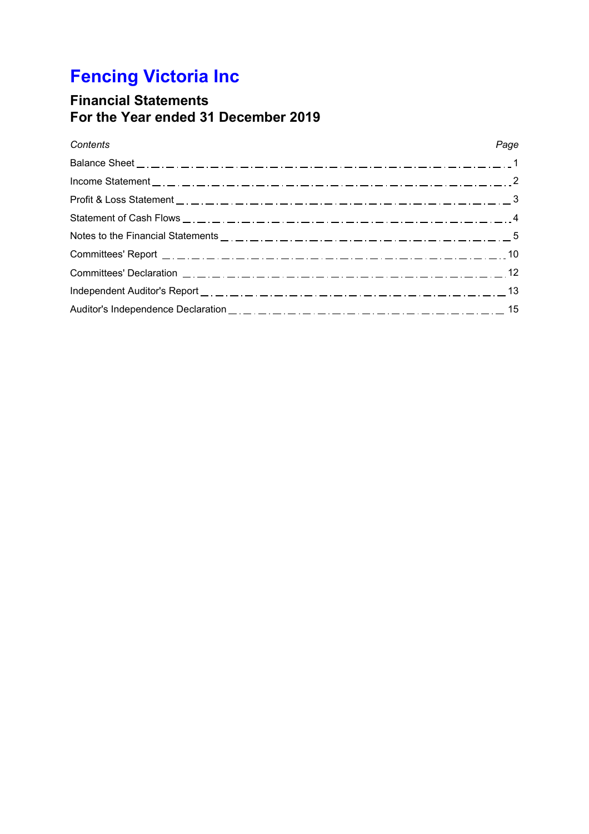# **Fencing Victoria Inc**

# **Financial Statements For the Year ended 31 December 2019**

## *Contents*

## *Page*

| Notes to the Financial Statements $\frac{1}{2}, \frac{1}{2}, \frac{1}{2}, \frac{1}{2}, \frac{1}{2}, \frac{1}{2}, \frac{1}{2}, \frac{1}{2}, \frac{1}{2}, \frac{1}{2}, \frac{1}{2}, \frac{1}{2}, \frac{1}{2}, \frac{1}{2}, \frac{1}{2}, \frac{1}{2}, \frac{1}{2}, \frac{1}{2}, \frac{1}{2}, \frac{1}{2}, \frac{1}{2}, \frac{1}{2}, \frac{1}{2}, \frac{1}{2}, \frac{1}{2}, \frac{1}{2}, \frac{1$ |  |
|-----------------------------------------------------------------------------------------------------------------------------------------------------------------------------------------------------------------------------------------------------------------------------------------------------------------------------------------------------------------------------------------------|--|
|                                                                                                                                                                                                                                                                                                                                                                                               |  |
|                                                                                                                                                                                                                                                                                                                                                                                               |  |
|                                                                                                                                                                                                                                                                                                                                                                                               |  |
|                                                                                                                                                                                                                                                                                                                                                                                               |  |
|                                                                                                                                                                                                                                                                                                                                                                                               |  |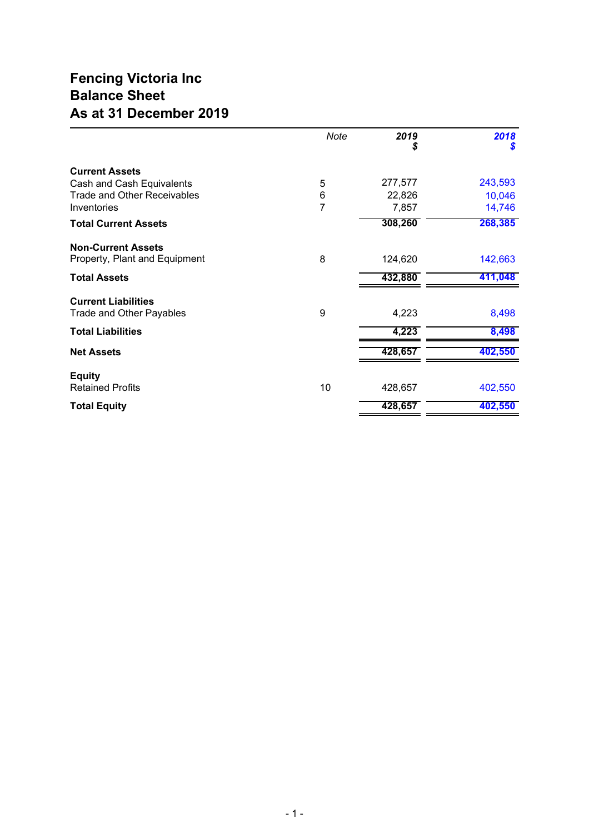# **Fencing Victoria Inc Balance Sheet As at 31 December 2019**

|                                    | Note | 2019<br>\$ | 2018<br>\$ |
|------------------------------------|------|------------|------------|
| <b>Current Assets</b>              |      |            |            |
| Cash and Cash Equivalents          | 5    | 277,577    | 243,593    |
| <b>Trade and Other Receivables</b> | 6    | 22,826     | 10,046     |
| Inventories                        | 7    | 7,857      | 14,746     |
| <b>Total Current Assets</b>        |      | 308,260    | 268,385    |
| <b>Non-Current Assets</b>          |      |            |            |
| Property, Plant and Equipment      | 8    | 124,620    | 142,663    |
| <b>Total Assets</b>                |      | 432,880    | 411,048    |
| <b>Current Liabilities</b>         |      |            |            |
| Trade and Other Payables           | 9    | 4,223      | 8,498      |
| <b>Total Liabilities</b>           |      | 4,223      | 8,498      |
| <b>Net Assets</b>                  |      | 428,657    | 402,550    |
| <b>Equity</b>                      |      |            |            |
| <b>Retained Profits</b>            | 10   | 428,657    | 402,550    |
| <b>Total Equity</b>                |      | 428,657    | 402,550    |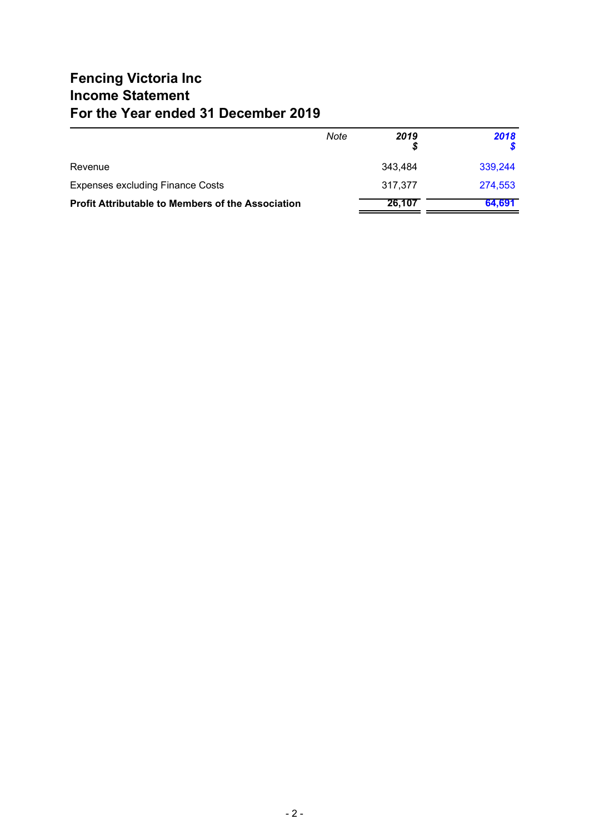# **Fencing Victoria Inc Income Statement For the Year ended 31 December 2019**

|                                                          | Note | 2019    | 2018    |
|----------------------------------------------------------|------|---------|---------|
| Revenue                                                  |      | 343.484 | 339.244 |
| <b>Expenses excluding Finance Costs</b>                  |      | 317.377 | 274,553 |
| <b>Profit Attributable to Members of the Association</b> |      | 26,107  | 64,691  |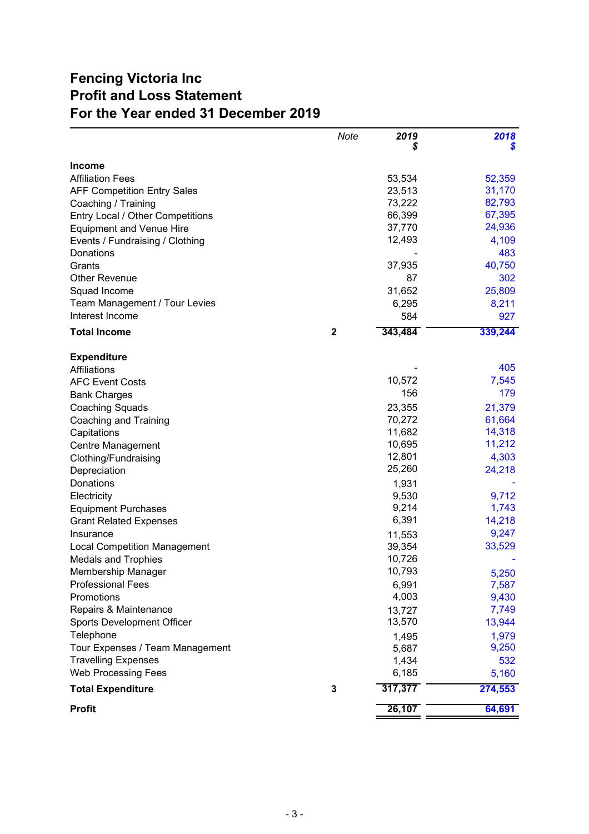# **Fencing Victoria Inc Profit and Loss Statement For the Year ended 31 December 2019**

|                                     | Note        | 2019    | 2018    |
|-------------------------------------|-------------|---------|---------|
| <b>Income</b>                       |             |         |         |
| <b>Affiliation Fees</b>             |             | 53,534  | 52,359  |
| <b>AFF Competition Entry Sales</b>  |             | 23,513  | 31,170  |
| Coaching / Training                 |             | 73,222  | 82,793  |
| Entry Local / Other Competitions    |             | 66,399  | 67,395  |
| <b>Equipment and Venue Hire</b>     |             | 37,770  | 24,936  |
| Events / Fundraising / Clothing     |             | 12,493  | 4,109   |
| Donations                           |             |         | 483     |
| Grants                              |             | 37,935  | 40,750  |
| <b>Other Revenue</b>                |             | 87      | 302     |
| Squad Income                        |             | 31,652  | 25,809  |
| Team Management / Tour Levies       |             | 6,295   | 8,211   |
| Interest Income                     |             | 584     | 927     |
| <b>Total Income</b>                 | $\mathbf 2$ | 343,484 | 339,244 |
|                                     |             |         |         |
| <b>Expenditure</b>                  |             |         |         |
| Affiliations                        |             |         | 405     |
| <b>AFC Event Costs</b>              |             | 10,572  | 7,545   |
| <b>Bank Charges</b>                 |             | 156     | 179     |
| <b>Coaching Squads</b>              |             | 23,355  | 21,379  |
| Coaching and Training               |             | 70,272  | 61,664  |
| Capitations                         |             | 11,682  | 14,318  |
| Centre Management                   |             | 10,695  | 11,212  |
| Clothing/Fundraising                |             | 12,801  | 4,303   |
| Depreciation                        |             | 25,260  | 24,218  |
| Donations                           |             | 1,931   |         |
| Electricity                         |             | 9,530   | 9,712   |
| <b>Equipment Purchases</b>          |             | 9,214   | 1,743   |
| <b>Grant Related Expenses</b>       |             | 6,391   | 14,218  |
| Insurance                           |             | 11,553  | 9,247   |
| <b>Local Competition Management</b> |             | 39,354  | 33,529  |
| <b>Medals and Trophies</b>          |             | 10,726  |         |
| Membership Manager                  |             | 10,793  | 5,250   |
| <b>Professional Fees</b>            |             | 6,991   | 7,587   |
| Promotions                          |             | 4,003   | 9,430   |
| Repairs & Maintenance               |             | 13,727  | 7,749   |
| <b>Sports Development Officer</b>   |             | 13,570  | 13,944  |
| Telephone                           |             | 1,495   | 1,979   |
| Tour Expenses / Team Management     |             | 5,687   | 9,250   |
| <b>Travelling Expenses</b>          |             | 1,434   | 532     |
| <b>Web Processing Fees</b>          |             | 6,185   | 5,160   |
| <b>Total Expenditure</b>            | 3           | 317,377 | 274,553 |
| <b>Profit</b>                       |             | 26,107  | 64,691  |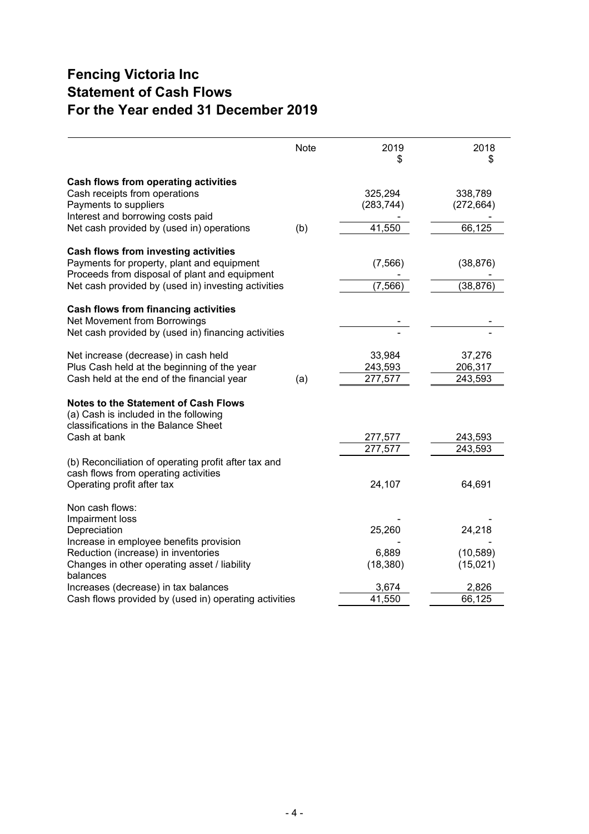# **Fencing Victoria Inc Statement of Cash Flows For the Year ended 31 December 2019**

|                                                                                                                                              | Note | 2019<br>S                    | 2018<br>S                    |
|----------------------------------------------------------------------------------------------------------------------------------------------|------|------------------------------|------------------------------|
| Cash flows from operating activities<br>Cash receipts from operations<br>Payments to suppliers<br>Interest and borrowing costs paid          |      | 325,294<br>(283, 744)        | 338,789<br>(272, 664)        |
| Net cash provided by (used in) operations                                                                                                    | (b)  | 41,550                       | 66,125                       |
| Cash flows from investing activities<br>Payments for property, plant and equipment<br>Proceeds from disposal of plant and equipment          |      | (7, 566)                     | (38, 876)                    |
| Net cash provided by (used in) investing activities                                                                                          |      | (7, 566)                     | (38, 876)                    |
| <b>Cash flows from financing activities</b><br>Net Movement from Borrowings<br>Net cash provided by (used in) financing activities           |      |                              |                              |
| Net increase (decrease) in cash held<br>Plus Cash held at the beginning of the year<br>Cash held at the end of the financial year            | (a)  | 33,984<br>243,593<br>277,577 | 37,276<br>206,317<br>243,593 |
| <b>Notes to the Statement of Cash Flows</b><br>(a) Cash is included in the following<br>classifications in the Balance Sheet<br>Cash at bank |      | 277,577                      | 243,593                      |
| (b) Reconciliation of operating profit after tax and<br>cash flows from operating activities<br>Operating profit after tax                   |      | 277,577<br>24,107            | 243,593<br>64,691            |
| Non cash flows:<br>Impairment loss<br>Depreciation<br>Increase in employee benefits provision<br>Reduction (increase) in inventories         |      | 25,260<br>6,889              | 24,218<br>(10, 589)          |
| Changes in other operating asset / liability<br>balances<br>Increases (decrease) in tax balances                                             |      | (18, 380)<br>3,674           | (15,021)<br>2,826            |
| Cash flows provided by (used in) operating activities                                                                                        |      | 41,550                       | 66,125                       |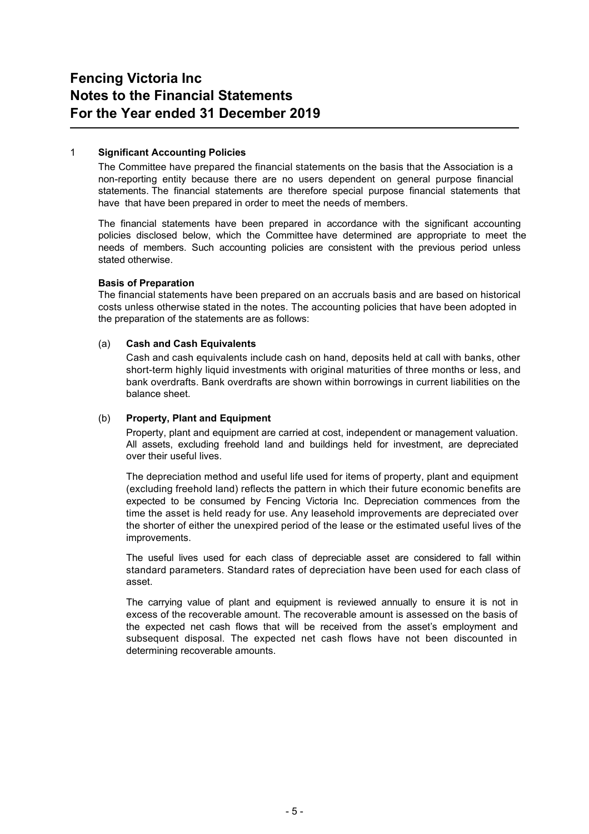### 1 **Significant Accounting Policies**

The Committee have prepared the financial statements on the basis that the Association is a non-reporting entity because there are no users dependent on general purpose financial statements. The financial statements are therefore special purpose financial statements that have that have been prepared in order to meet the needs of members.

The financial statements have been prepared in accordance with the significant accounting policies disclosed below, which the Committee have determined are appropriate to meet the needs of members. Such accounting policies are consistent with the previous period unless stated otherwise.

#### **Basis of Preparation**

The financial statements have been prepared on an accruals basis and are based on historical costs unless otherwise stated in the notes. The accounting policies that have been adopted in the preparation of the statements are as follows:

### (a) **Cash and Cash Equivalents**

Cash and cash equivalents include cash on hand, deposits held at call with banks, other short-term highly liquid investments with original maturities of three months or less, and bank overdrafts. Bank overdrafts are shown within borrowings in current liabilities on the balance sheet.

#### (b) **Property, Plant and Equipment**

Property, plant and equipment are carried at cost, independent or management valuation. All assets, excluding freehold land and buildings held for investment, are depreciated over their useful lives.

The depreciation method and useful life used for items of property, plant and equipment (excluding freehold land) reflects the pattern in which their future economic benefits are expected to be consumed by Fencing Victoria Inc. Depreciation commences from the time the asset is held ready for use. Any leasehold improvements are depreciated over the shorter of either the unexpired period of the lease or the estimated useful lives of the improvements.

The useful lives used for each class of depreciable asset are considered to fall within standard parameters. Standard rates of depreciation have been used for each class of asset.

The carrying value of plant and equipment is reviewed annually to ensure it is not in excess of the recoverable amount. The recoverable amount is assessed on the basis of the expected net cash flows that will be received from the asset's employment and subsequent disposal. The expected net cash flows have not been discounted in determining recoverable amounts.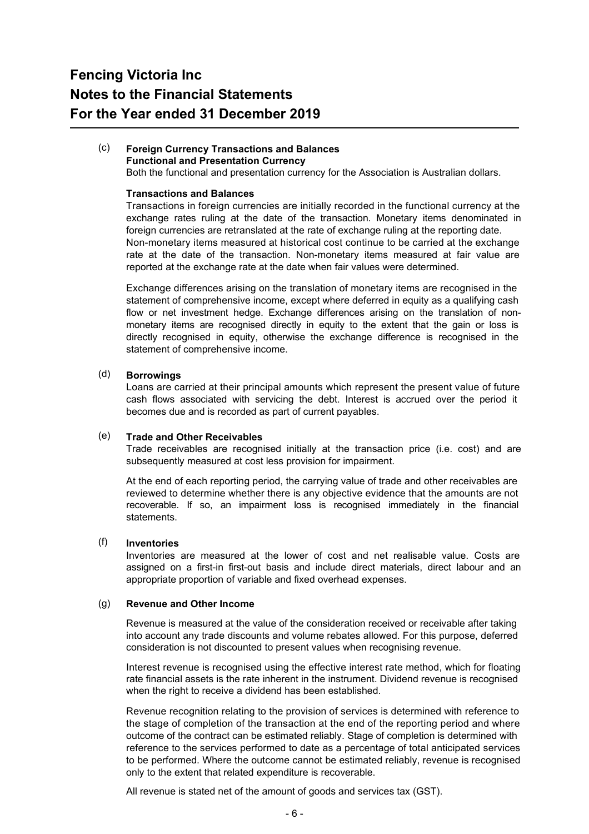#### $(c)$ **Foreign Currency Transactions and Balances Functional and Presentation Currency**

Both the functional and presentation currency for the Association is Australian dollars.

#### **Transactions and Balances**

Transactions in foreign currencies are initially recorded in the functional currency at the exchange rates ruling at the date of the transaction. Monetary items denominated in foreign currencies are retranslated at the rate of exchange ruling at the reporting date. Non-monetary items measured at historical cost continue to be carried at the exchange rate at the date of the transaction. Non-monetary items measured at fair value are reported at the exchange rate at the date when fair values were determined.

Exchange differences arising on the translation of monetary items are recognised in the statement of comprehensive income, except where deferred in equity as a qualifying cash flow or net investment hedge. Exchange differences arising on the translation of nonmonetary items are recognised directly in equity to the extent that the gain or loss is directly recognised in equity, otherwise the exchange difference is recognised in the statement of comprehensive income.

#### (d) **Borrowings**

Loans are carried at their principal amounts which represent the present value of future cash flows associated with servicing the debt. Interest is accrued over the period it becomes due and is recorded as part of current payables.

#### (e) **Trade and Other Receivables**

Trade receivables are recognised initially at the transaction price (i.e. cost) and are subsequently measured at cost less provision for impairment.

At the end of each reporting period, the carrying value of trade and other receivables are reviewed to determine whether there is any objective evidence that the amounts are not recoverable. If so, an impairment loss is recognised immediately in the financial statements.

#### (f) **Inventories**

Inventories are measured at the lower of cost and net realisable value. Costs are assigned on a first-in first-out basis and include direct materials, direct labour and an appropriate proportion of variable and fixed overhead expenses.

#### $(a)$ **Revenue and Other Income**

Revenue is measured at the value of the consideration received or receivable after taking into account any trade discounts and volume rebates allowed. For this purpose, deferred consideration is not discounted to present values when recognising revenue.

Interest revenue is recognised using the effective interest rate method, which for floating rate financial assets is the rate inherent in the instrument. Dividend revenue is recognised when the right to receive a dividend has been established.

Revenue recognition relating to the provision of services is determined with reference to the stage of completion of the transaction at the end of the reporting period and where outcome of the contract can be estimated reliably. Stage of completion is determined with reference to the services performed to date as a percentage of total anticipated services to be performed. Where the outcome cannot be estimated reliably, revenue is recognised only to the extent that related expenditure is recoverable.

All revenue is stated net of the amount of goods and services tax (GST).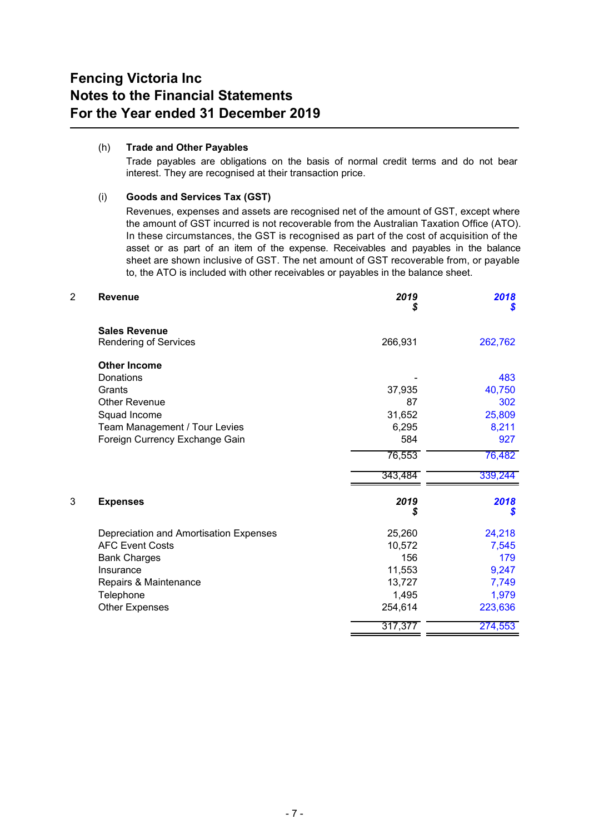#### (h) **Trade and Other Payables**

Trade payables are obligations on the basis of normal credit terms and do not bear interest. They are recognised at their transaction price.

## (i) **Goods and Services Tax (GST)**

Revenues, expenses and assets are recognised net of the amount of GST, except where the amount of GST incurred is not recoverable from the Australian Taxation Office (ATO). In these circumstances, the GST is recognised as part of the cost of acquisition of the asset or as part of an item of the expense. Receivables and payables in the balance sheet are shown inclusive of GST. The net amount of GST recoverable from, or payable to, the ATO is included with other receivables or payables in the balance sheet.

| 2 | <b>Revenue</b>                         | 2019<br>\$ | 2018<br>S |
|---|----------------------------------------|------------|-----------|
|   | <b>Sales Revenue</b>                   |            |           |
|   | Rendering of Services                  | 266,931    | 262,762   |
|   | <b>Other Income</b>                    |            |           |
|   | Donations                              |            | 483       |
|   | Grants                                 | 37,935     | 40,750    |
|   | <b>Other Revenue</b>                   | 87         | 302       |
|   | Squad Income                           | 31,652     | 25,809    |
|   | Team Management / Tour Levies          | 6,295      | 8,211     |
|   | Foreign Currency Exchange Gain         | 584        | 927       |
|   |                                        | 76,553     | 76,482    |
|   |                                        | 343,484    | 339,244   |
| 3 | <b>Expenses</b>                        | 2019<br>S  | 2018<br>S |
|   | Depreciation and Amortisation Expenses | 25,260     | 24,218    |
|   | <b>AFC Event Costs</b>                 | 10,572     | 7,545     |
|   | <b>Bank Charges</b>                    | 156        | 179       |
|   | Insurance                              | 11,553     | 9,247     |
|   | Repairs & Maintenance                  | 13,727     | 7,749     |
|   | Telephone                              | 1,495      | 1,979     |
|   | <b>Other Expenses</b>                  | 254,614    | 223,636   |
|   |                                        | 317,377    | 274,553   |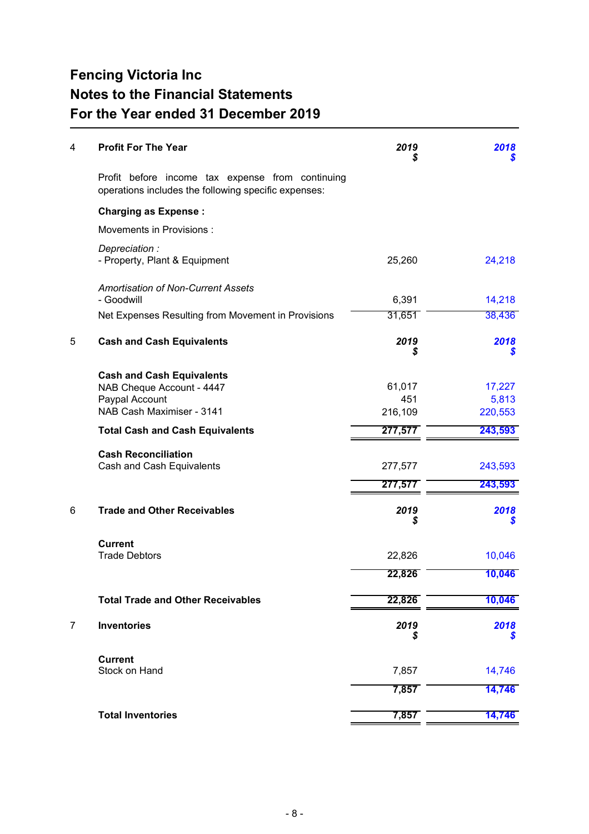| 4 | <b>Profit For The Year</b>                                                                                   | 2019<br>25               | 2018                       |
|---|--------------------------------------------------------------------------------------------------------------|--------------------------|----------------------------|
|   | Profit before income tax expense from continuing<br>operations includes the following specific expenses:     |                          |                            |
|   | <b>Charging as Expense:</b>                                                                                  |                          |                            |
|   | Movements in Provisions :                                                                                    |                          |                            |
|   | Depreciation:<br>- Property, Plant & Equipment                                                               | 25,260                   | 24,218                     |
|   | <b>Amortisation of Non-Current Assets</b><br>- Goodwill                                                      | 6,391                    | 14,218                     |
|   | Net Expenses Resulting from Movement in Provisions                                                           | 31,651                   | 38,436                     |
| 5 | <b>Cash and Cash Equivalents</b>                                                                             | 2019<br>S                | 2018<br>S                  |
|   | <b>Cash and Cash Equivalents</b><br>NAB Cheque Account - 4447<br>Paypal Account<br>NAB Cash Maximiser - 3141 | 61,017<br>451<br>216,109 | 17,227<br>5,813<br>220,553 |
|   | <b>Total Cash and Cash Equivalents</b>                                                                       | 277,577                  | 243,593                    |
|   | <b>Cash Reconciliation</b><br>Cash and Cash Equivalents                                                      | 277,577                  | 243,593                    |
|   |                                                                                                              | 277,577                  | 243,593                    |
| 6 | <b>Trade and Other Receivables</b>                                                                           | 2019<br>S                | 2018<br>S                  |
|   | <b>Current</b><br><b>Trade Debtors</b>                                                                       | 22,826                   | 10,046                     |
|   |                                                                                                              | 22,826                   | 10,046                     |
|   | <b>Total Trade and Other Receivables</b>                                                                     | 22,826                   | 10,046                     |
| 7 | <b>Inventories</b>                                                                                           | 2019<br>S                | 2018<br>S                  |
|   | <b>Current</b><br>Stock on Hand                                                                              | 7,857                    | 14,746                     |
|   |                                                                                                              | 7,857                    | 14,746                     |
|   | <b>Total Inventories</b>                                                                                     | 7,857                    | 14,746                     |
|   |                                                                                                              |                          |                            |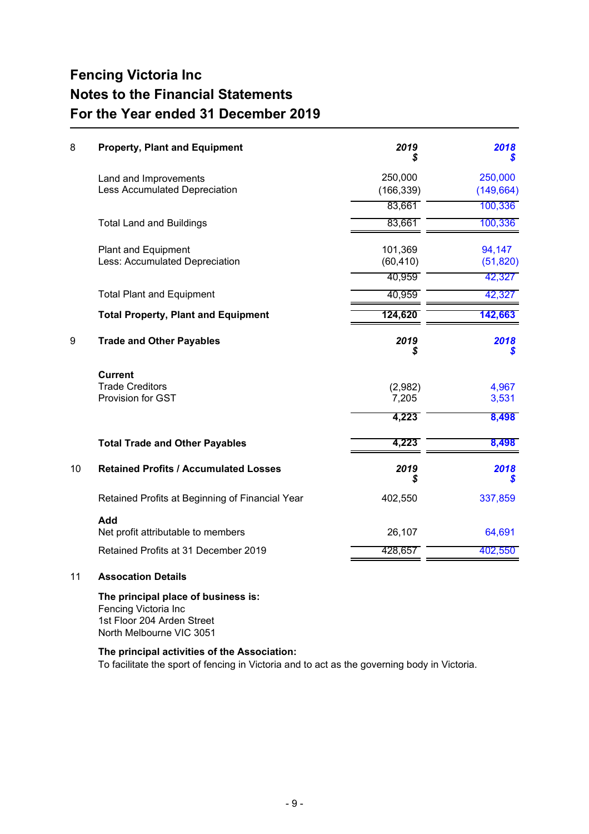| 8  | <b>Property, Plant and Equipment</b>                         | 2019<br>5            | 2018<br>S           |
|----|--------------------------------------------------------------|----------------------|---------------------|
|    | Land and Improvements                                        | 250,000              | 250,000             |
|    | Less Accumulated Depreciation                                | (166, 339)           | (149, 664)          |
|    |                                                              | 83,661               | 100,336             |
|    | <b>Total Land and Buildings</b>                              | 83,661               | 100,336             |
|    | <b>Plant and Equipment</b><br>Less: Accumulated Depreciation | 101,369<br>(60, 410) | 94,147<br>(51, 820) |
|    |                                                              | 40,959               | 42,327              |
|    | <b>Total Plant and Equipment</b>                             | 40,959               | 42,327              |
|    | <b>Total Property, Plant and Equipment</b>                   | 124,620              | 142,663             |
| 9  | <b>Trade and Other Payables</b>                              | 2019<br>S            | 2018<br>S           |
|    | <b>Current</b>                                               |                      |                     |
|    | <b>Trade Creditors</b><br>Provision for GST                  | (2,982)<br>7,205     | 4,967<br>3,531      |
|    |                                                              | 4,223                | 8,498               |
|    | <b>Total Trade and Other Payables</b>                        | 4,223                | 8,498               |
| 10 | <b>Retained Profits / Accumulated Losses</b>                 | 2019<br>S            | 2018<br>S           |
|    | Retained Profits at Beginning of Financial Year              | 402,550              | 337,859             |
|    | Add                                                          |                      |                     |
|    | Net profit attributable to members                           | 26,107               | 64,691              |
|    | Retained Profits at 31 December 2019                         | 428,657              | 402,550             |

#### 11 **Assocation Details**

**The principal place of business is:** Fencing Victoria Inc 1st Floor 204 Arden Street North Melbourne VIC 3051

## **The principal activities of the Association:**

To facilitate the sport of fencing in Victoria and to act as the governing body in Victoria.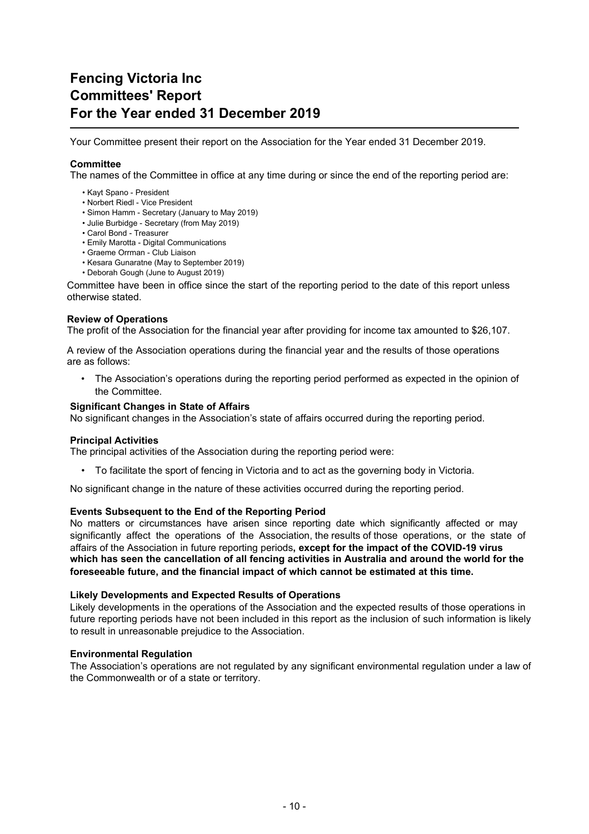# **Fencing Victoria Inc Committees' Report For the Year ended 31 December 2019**

Your Committee present their report on the Association for the Year ended 31 December 2019.

#### **Committee**

The names of the Committee in office at any time during or since the end of the reporting period are:

- Kayt Spano President
- Norbert Riedl Vice President
- Simon Hamm Secretary (January to May 2019)
- Julie Burbidge Secretary (from May 2019)
- Carol Bond Treasurer
- Emily Marotta Digital Communications
- Graeme Orrman Club Liaison
- Kesara Gunaratne (May to September 2019)
- Deborah Gough (June to August 2019)

Committee have been in office since the start of the reporting period to the date of this report unless otherwise stated.

#### **Review of Operations**

The profit of the Association for the financial year after providing for income tax amounted to \$26,107.

A review of the Association operations during the financial year and the results of those operations are as follows:

• The Association's operations during the reporting period performed as expected in the opinion of the Committee.

#### **Significant Changes in State of Affairs**

No significant changes in the Association's state of affairs occurred during the reporting period.

#### **Principal Activities**

The principal activities of the Association during the reporting period were:

• To facilitate the sport of fencing in Victoria and to act as the governing body in Victoria.

No significant change in the nature of these activities occurred during the reporting period.

#### **Events Subsequent to the End of the Reporting Period**

No matters or circumstances have arisen since reporting date which significantly affected or may significantly affect the operations of the Association, the results of those operations, or the state of affairs of the Association in future reporting periods**, except for the impact of the COVID-19 virus which has seen the cancellation of all fencing activities in Australia and around the world for the foreseeable future, and the financial impact of which cannot be estimated at this time.**

#### **Likely Developments and Expected Results of Operations**

Likely developments in the operations of the Association and the expected results of those operations in future reporting periods have not been included in this report as the inclusion of such information is likely to result in unreasonable prejudice to the Association.

#### **Environmental Regulation**

The Association's operations are not regulated by any significant environmental regulation under a law of the Commonwealth or of a state or territory.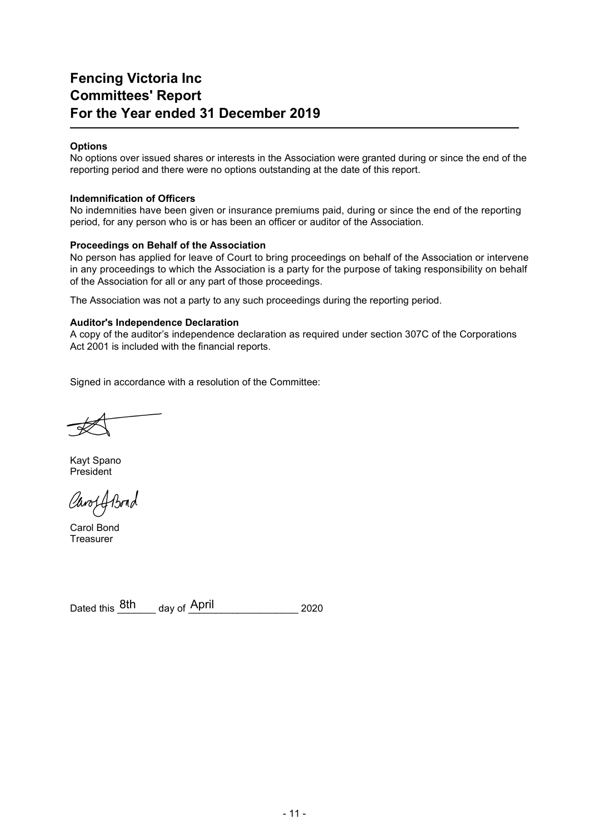# **Fencing Victoria Inc Committees' Report For the Year ended 31 December 2019**

### **Options**

No options over issued shares or interests in the Association were granted during or since the end of the reporting period and there were no options outstanding at the date of this report.

#### **Indemnification of Officers**

No indemnities have been given or insurance premiums paid, during or since the end of the reporting period, for any person who is or has been an officer or auditor of the Association.

#### **Proceedings on Behalf of the Association**

No person has applied for leave of Court to bring proceedings on behalf of the Association or intervene in any proceedings to which the Association is a party for the purpose of taking responsibility on behalf of the Association for all or any part of those proceedings.

The Association was not a party to any such proceedings during the reporting period.

## **Auditor's Independence Declaration**

A copy of the auditor's independence declaration as required under section 307C of the Corporations Act 2001 is included with the financial reports.

Signed in accordance with a resolution of the Committee:

Kayt Spano President

Carof Abord

Carol Bond **Treasurer** 

Dated this  $\frac{8\text{th}}{2020}$  day of  $\frac{\text{April}}{2020}$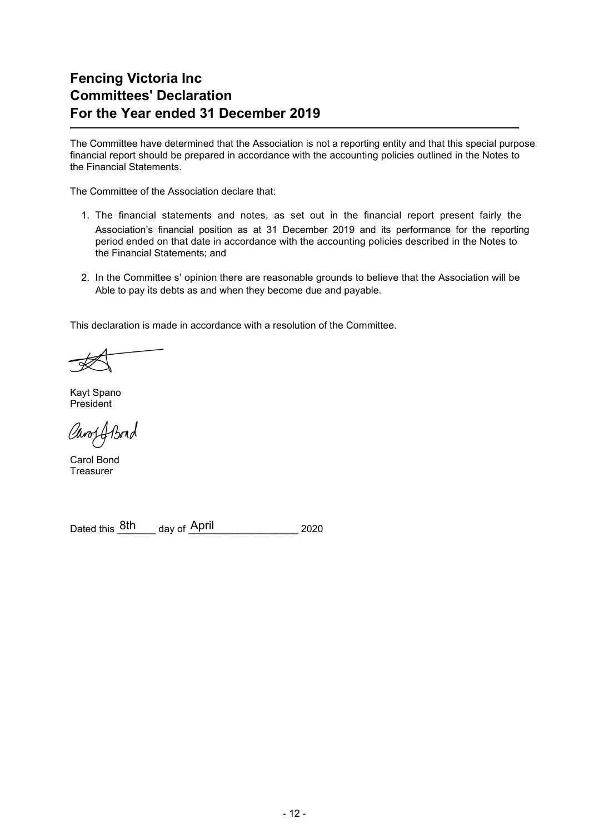# **Fencing Victoria Inc Committees' Declaration For the Year ended 31 December 2019**

The Committee have determined that the Association is not a reporting entity and that this special purpose financial report should be prepared in accordance with the accounting policies outlined in the Notes to the Financial Statements.

The Committee of the Association declare that:

- 1. The financial statements and notes, as set out in the financial report present fairly the Association's financial position as at 31 December 2019 and its performance for the reporting period ended on that date in accordance with the accounting policies described in the Notes to the Financial Statements; and
- 2. In the Committee s' opinion there are reasonable grounds to believe that the Association will be Able to pay its debts as and when they become due and payable.

This declaration is made in accordance with a resolution of the Committee.

Kayt Spano President

Caros A Bond

Carol Bond **Treasurer** 

Dated this  $\frac{8\text{th}}{2020}$  day of  $\frac{\text{April}}{2020}$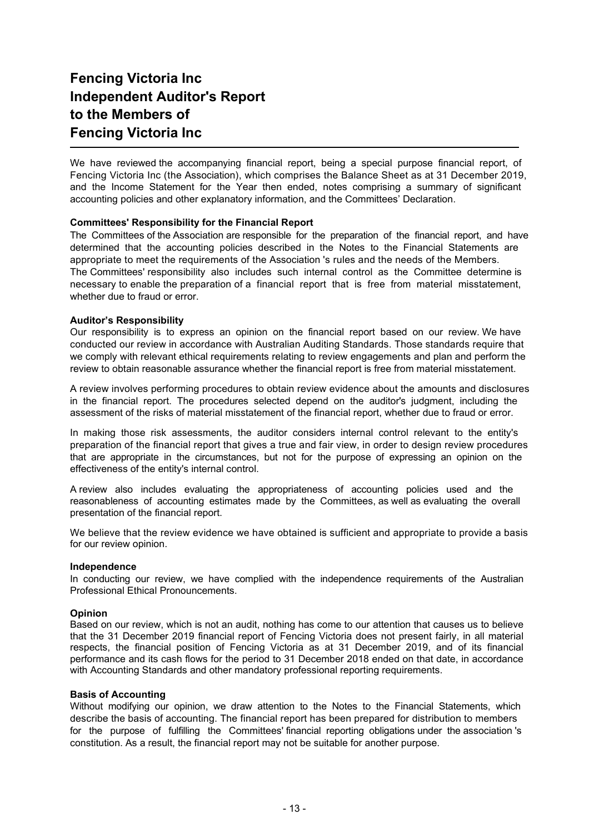# **Fencing Victoria Inc Independent Auditor's Report to the Members of Fencing Victoria Inc**

We have reviewed the accompanying financial report, being a special purpose financial report, of Fencing Victoria Inc (the Association), which comprises the Balance Sheet as at 31 December 2019, and the Income Statement for the Year then ended, notes comprising a summary of significant accounting policies and other explanatory information, and the Committees' Declaration.

#### **Committees' Responsibility for the Financial Report**

The Committees of the Association are responsible for the preparation of the financial report, and have determined that the accounting policies described in the Notes to the Financial Statements are appropriate to meet the requirements of the Association 's rules and the needs of the Members. The Committees' responsibility also includes such internal control as the Committee determine is necessary to enable the preparation of a financial report that is free from material misstatement, whether due to fraud or error.

#### **Auditor's Responsibility**

Our responsibility is to express an opinion on the financial report based on our review. We have conducted our review in accordance with Australian Auditing Standards. Those standards require that we comply with relevant ethical requirements relating to review engagements and plan and perform the review to obtain reasonable assurance whether the financial report is free from material misstatement.

A review involves performing procedures to obtain review evidence about the amounts and disclosures in the financial report. The procedures selected depend on the auditor's judgment, including the assessment of the risks of material misstatement of the financial report, whether due to fraud or error.

In making those risk assessments, the auditor considers internal control relevant to the entity's preparation of the financial report that gives a true and fair view, in order to design review procedures that are appropriate in the circumstances, but not for the purpose of expressing an opinion on the effectiveness of the entity's internal control.

A review also includes evaluating the appropriateness of accounting policies used and the reasonableness of accounting estimates made by the Committees, as well as evaluating the overall presentation of the financial report.

We believe that the review evidence we have obtained is sufficient and appropriate to provide a basis for our review opinion.

#### **Independence**

In conducting our review, we have complied with the independence requirements of the Australian Professional Ethical Pronouncements.

#### **Opinion**

Based on our review, which is not an audit, nothing has come to our attention that causes us to believe that the 31 December 2019 financial report of Fencing Victoria does not present fairly, in all material respects, the financial position of Fencing Victoria as at 31 December 2019, and of its financial performance and its cash flows for the period to 31 December 2018 ended on that date, in accordance with Accounting Standards and other mandatory professional reporting requirements.

#### **Basis of Accounting**

Without modifying our opinion, we draw attention to the Notes to the Financial Statements, which describe the basis of accounting. The financial report has been prepared for distribution to members for the purpose of fulfilling the Committees' financial reporting obligations under the association 's constitution. As a result, the financial report may not be suitable for another purpose.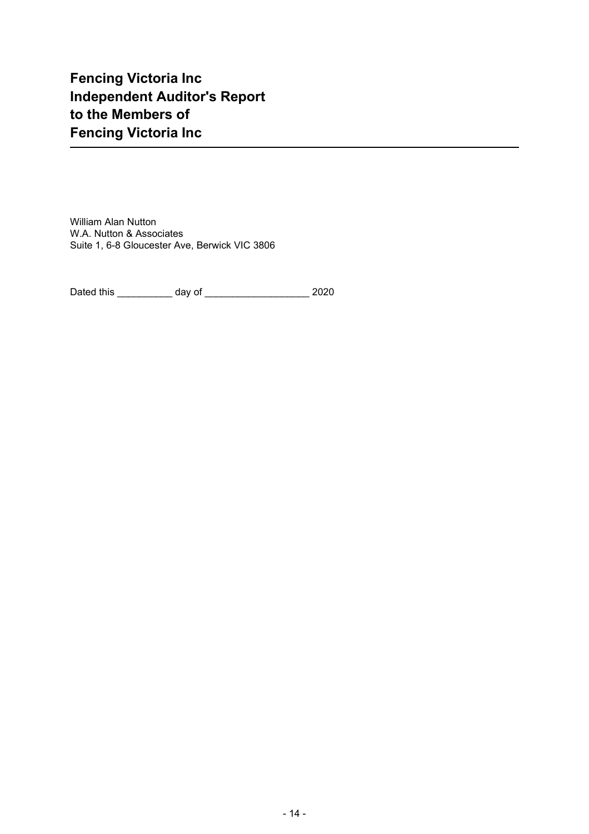# **Fencing Victoria Inc Independent Auditor's Report to the Members of Fencing Victoria Inc**

William Alan Nutton W.A. Nutton & Associates Suite 1, 6-8 Gloucester Ave, Berwick VIC 3806

Dated this \_\_\_\_\_\_\_\_\_\_ day of \_\_\_\_\_\_\_\_\_\_\_\_\_\_\_\_\_\_\_ 2020